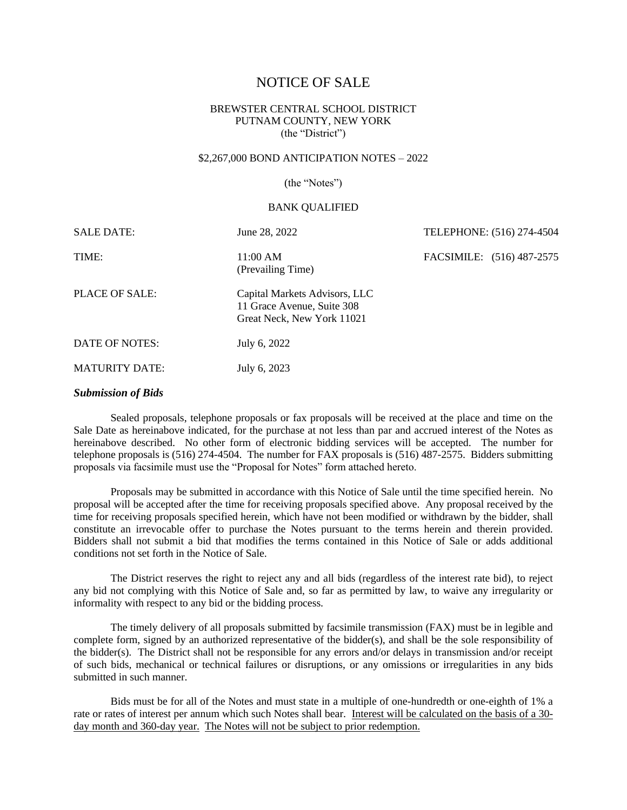# NOTICE OF SALE

# BREWSTER CENTRAL SCHOOL DISTRICT PUTNAM COUNTY, NEW YORK (the "District")

# \$2,267,000 BOND ANTICIPATION NOTES – 2022

(the "Notes")

#### BANK QUALIFIED

| <b>SALE DATE:</b>     | June 28, 2022                                                                             | TELEPHONE: (516) 274-4504 |  |
|-----------------------|-------------------------------------------------------------------------------------------|---------------------------|--|
| TIME:                 | 11:00 AM<br>(Prevailing Time)                                                             | FACSIMILE: (516) 487-2575 |  |
| PLACE OF SALE:        | Capital Markets Advisors, LLC<br>11 Grace Avenue, Suite 308<br>Great Neck, New York 11021 |                           |  |
| DATE OF NOTES:        | July 6, 2022                                                                              |                           |  |
| <b>MATURITY DATE:</b> | July 6, 2023                                                                              |                           |  |

### *Submission of Bids*

Sealed proposals, telephone proposals or fax proposals will be received at the place and time on the Sale Date as hereinabove indicated, for the purchase at not less than par and accrued interest of the Notes as hereinabove described. No other form of electronic bidding services will be accepted. The number for telephone proposals is (516) 274-4504. The number for FAX proposals is (516) 487-2575. Bidders submitting proposals via facsimile must use the "Proposal for Notes" form attached hereto.

Proposals may be submitted in accordance with this Notice of Sale until the time specified herein. No proposal will be accepted after the time for receiving proposals specified above. Any proposal received by the time for receiving proposals specified herein, which have not been modified or withdrawn by the bidder, shall constitute an irrevocable offer to purchase the Notes pursuant to the terms herein and therein provided. Bidders shall not submit a bid that modifies the terms contained in this Notice of Sale or adds additional conditions not set forth in the Notice of Sale.

The District reserves the right to reject any and all bids (regardless of the interest rate bid), to reject any bid not complying with this Notice of Sale and, so far as permitted by law, to waive any irregularity or informality with respect to any bid or the bidding process.

The timely delivery of all proposals submitted by facsimile transmission (FAX) must be in legible and complete form, signed by an authorized representative of the bidder(s), and shall be the sole responsibility of the bidder(s). The District shall not be responsible for any errors and/or delays in transmission and/or receipt of such bids, mechanical or technical failures or disruptions, or any omissions or irregularities in any bids submitted in such manner.

Bids must be for all of the Notes and must state in a multiple of one-hundredth or one-eighth of 1% a rate or rates of interest per annum which such Notes shall bear. Interest will be calculated on the basis of a 30 day month and 360-day year. The Notes will not be subject to prior redemption.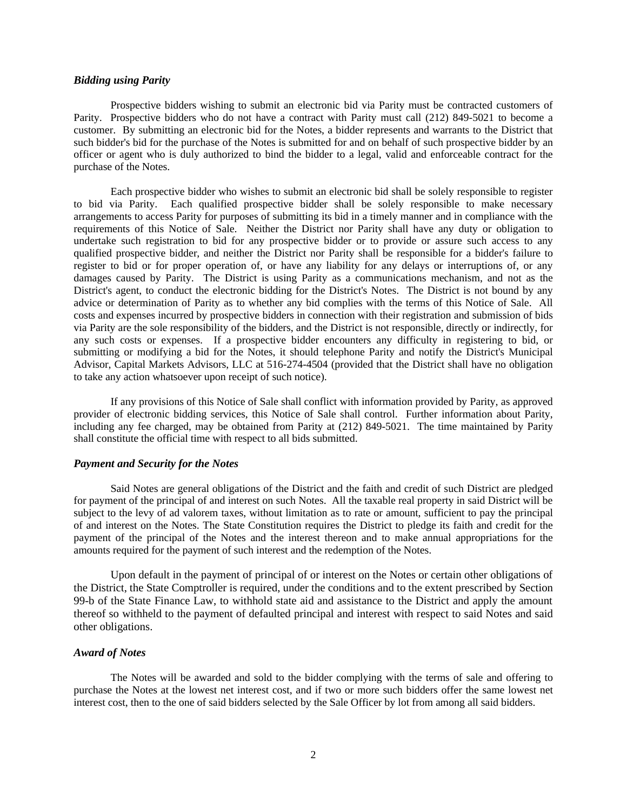# *Bidding using Parity*

Prospective bidders wishing to submit an electronic bid via Parity must be contracted customers of Parity. Prospective bidders who do not have a contract with Parity must call (212) 849-5021 to become a customer. By submitting an electronic bid for the Notes, a bidder represents and warrants to the District that such bidder's bid for the purchase of the Notes is submitted for and on behalf of such prospective bidder by an officer or agent who is duly authorized to bind the bidder to a legal, valid and enforceable contract for the purchase of the Notes.

Each prospective bidder who wishes to submit an electronic bid shall be solely responsible to register to bid via Parity. Each qualified prospective bidder shall be solely responsible to make necessary arrangements to access Parity for purposes of submitting its bid in a timely manner and in compliance with the requirements of this Notice of Sale. Neither the District nor Parity shall have any duty or obligation to undertake such registration to bid for any prospective bidder or to provide or assure such access to any qualified prospective bidder, and neither the District nor Parity shall be responsible for a bidder's failure to register to bid or for proper operation of, or have any liability for any delays or interruptions of, or any damages caused by Parity. The District is using Parity as a communications mechanism, and not as the District's agent, to conduct the electronic bidding for the District's Notes. The District is not bound by any advice or determination of Parity as to whether any bid complies with the terms of this Notice of Sale. All costs and expenses incurred by prospective bidders in connection with their registration and submission of bids via Parity are the sole responsibility of the bidders, and the District is not responsible, directly or indirectly, for any such costs or expenses. If a prospective bidder encounters any difficulty in registering to bid, or submitting or modifying a bid for the Notes, it should telephone Parity and notify the District's Municipal Advisor, Capital Markets Advisors, LLC at 516-274-4504 (provided that the District shall have no obligation to take any action whatsoever upon receipt of such notice).

If any provisions of this Notice of Sale shall conflict with information provided by Parity, as approved provider of electronic bidding services, this Notice of Sale shall control. Further information about Parity, including any fee charged, may be obtained from Parity at (212) 849-5021. The time maintained by Parity shall constitute the official time with respect to all bids submitted.

# *Payment and Security for the Notes*

Said Notes are general obligations of the District and the faith and credit of such District are pledged for payment of the principal of and interest on such Notes. All the taxable real property in said District will be subject to the levy of ad valorem taxes, without limitation as to rate or amount, sufficient to pay the principal of and interest on the Notes. The State Constitution requires the District to pledge its faith and credit for the payment of the principal of the Notes and the interest thereon and to make annual appropriations for the amounts required for the payment of such interest and the redemption of the Notes.

Upon default in the payment of principal of or interest on the Notes or certain other obligations of the District, the State Comptroller is required, under the conditions and to the extent prescribed by Section 99-b of the State Finance Law, to withhold state aid and assistance to the District and apply the amount thereof so withheld to the payment of defaulted principal and interest with respect to said Notes and said other obligations.

# *Award of Notes*

The Notes will be awarded and sold to the bidder complying with the terms of sale and offering to purchase the Notes at the lowest net interest cost, and if two or more such bidders offer the same lowest net interest cost, then to the one of said bidders selected by the Sale Officer by lot from among all said bidders.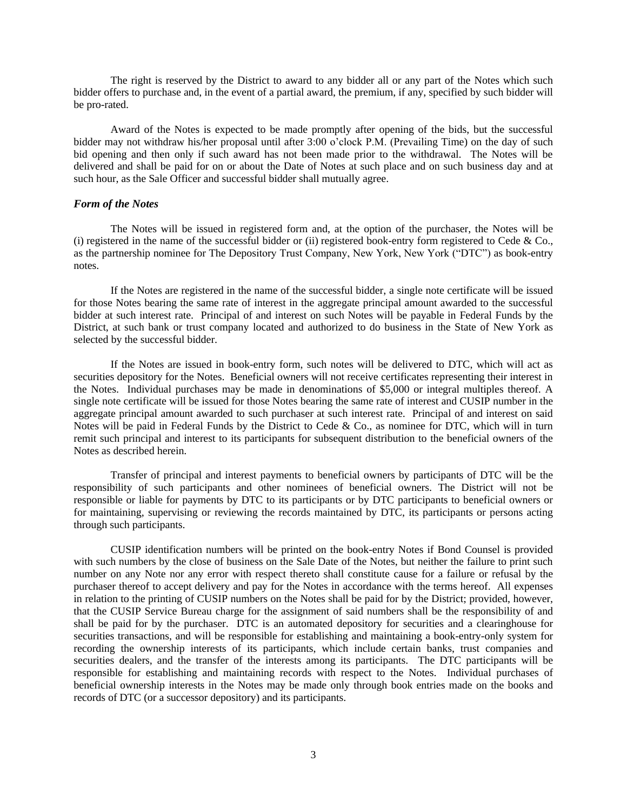The right is reserved by the District to award to any bidder all or any part of the Notes which such bidder offers to purchase and, in the event of a partial award, the premium, if any, specified by such bidder will be pro-rated.

Award of the Notes is expected to be made promptly after opening of the bids, but the successful bidder may not withdraw his/her proposal until after 3:00 o'clock P.M. (Prevailing Time) on the day of such bid opening and then only if such award has not been made prior to the withdrawal. The Notes will be delivered and shall be paid for on or about the Date of Notes at such place and on such business day and at such hour, as the Sale Officer and successful bidder shall mutually agree.

### *Form of the Notes*

The Notes will be issued in registered form and, at the option of the purchaser, the Notes will be (i) registered in the name of the successful bidder or (ii) registered book-entry form registered to Cede  $& Co.,$ as the partnership nominee for The Depository Trust Company, New York, New York ("DTC") as book-entry notes.

If the Notes are registered in the name of the successful bidder, a single note certificate will be issued for those Notes bearing the same rate of interest in the aggregate principal amount awarded to the successful bidder at such interest rate. Principal of and interest on such Notes will be payable in Federal Funds by the District, at such bank or trust company located and authorized to do business in the State of New York as selected by the successful bidder.

If the Notes are issued in book-entry form, such notes will be delivered to DTC, which will act as securities depository for the Notes. Beneficial owners will not receive certificates representing their interest in the Notes. Individual purchases may be made in denominations of \$5,000 or integral multiples thereof. A single note certificate will be issued for those Notes bearing the same rate of interest and CUSIP number in the aggregate principal amount awarded to such purchaser at such interest rate. Principal of and interest on said Notes will be paid in Federal Funds by the District to Cede & Co., as nominee for DTC, which will in turn remit such principal and interest to its participants for subsequent distribution to the beneficial owners of the Notes as described herein.

Transfer of principal and interest payments to beneficial owners by participants of DTC will be the responsibility of such participants and other nominees of beneficial owners. The District will not be responsible or liable for payments by DTC to its participants or by DTC participants to beneficial owners or for maintaining, supervising or reviewing the records maintained by DTC, its participants or persons acting through such participants.

CUSIP identification numbers will be printed on the book-entry Notes if Bond Counsel is provided with such numbers by the close of business on the Sale Date of the Notes, but neither the failure to print such number on any Note nor any error with respect thereto shall constitute cause for a failure or refusal by the purchaser thereof to accept delivery and pay for the Notes in accordance with the terms hereof. All expenses in relation to the printing of CUSIP numbers on the Notes shall be paid for by the District; provided, however, that the CUSIP Service Bureau charge for the assignment of said numbers shall be the responsibility of and shall be paid for by the purchaser. DTC is an automated depository for securities and a clearinghouse for securities transactions, and will be responsible for establishing and maintaining a book-entry-only system for recording the ownership interests of its participants, which include certain banks, trust companies and securities dealers, and the transfer of the interests among its participants. The DTC participants will be responsible for establishing and maintaining records with respect to the Notes. Individual purchases of beneficial ownership interests in the Notes may be made only through book entries made on the books and records of DTC (or a successor depository) and its participants.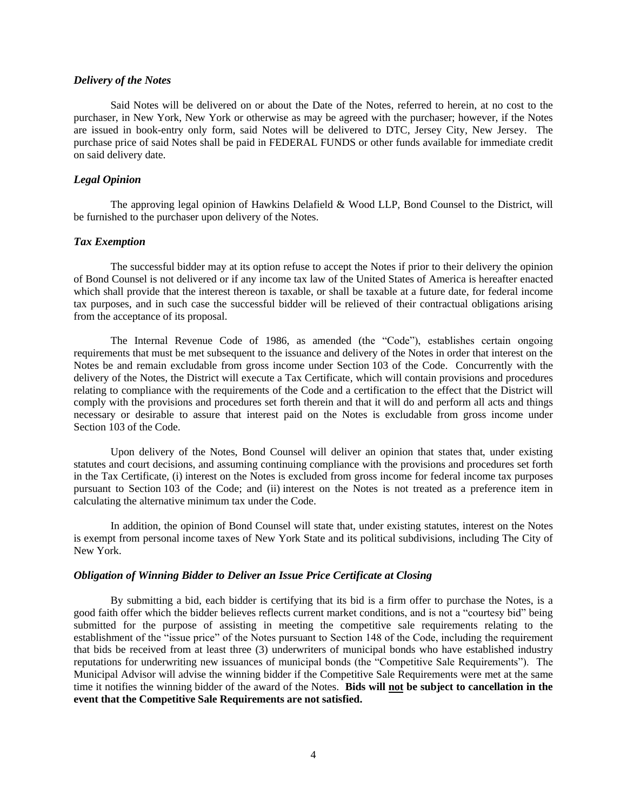### *Delivery of the Notes*

Said Notes will be delivered on or about the Date of the Notes, referred to herein, at no cost to the purchaser, in New York, New York or otherwise as may be agreed with the purchaser; however, if the Notes are issued in book-entry only form, said Notes will be delivered to DTC, Jersey City, New Jersey. The purchase price of said Notes shall be paid in FEDERAL FUNDS or other funds available for immediate credit on said delivery date.

# *Legal Opinion*

The approving legal opinion of Hawkins Delafield & Wood LLP, Bond Counsel to the District, will be furnished to the purchaser upon delivery of the Notes.

### *Tax Exemption*

The successful bidder may at its option refuse to accept the Notes if prior to their delivery the opinion of Bond Counsel is not delivered or if any income tax law of the United States of America is hereafter enacted which shall provide that the interest thereon is taxable, or shall be taxable at a future date, for federal income tax purposes, and in such case the successful bidder will be relieved of their contractual obligations arising from the acceptance of its proposal.

The Internal Revenue Code of 1986, as amended (the "Code"), establishes certain ongoing requirements that must be met subsequent to the issuance and delivery of the Notes in order that interest on the Notes be and remain excludable from gross income under Section 103 of the Code. Concurrently with the delivery of the Notes, the District will execute a Tax Certificate, which will contain provisions and procedures relating to compliance with the requirements of the Code and a certification to the effect that the District will comply with the provisions and procedures set forth therein and that it will do and perform all acts and things necessary or desirable to assure that interest paid on the Notes is excludable from gross income under Section 103 of the Code.

Upon delivery of the Notes, Bond Counsel will deliver an opinion that states that, under existing statutes and court decisions, and assuming continuing compliance with the provisions and procedures set forth in the Tax Certificate, (i) interest on the Notes is excluded from gross income for federal income tax purposes pursuant to Section 103 of the Code; and (ii) interest on the Notes is not treated as a preference item in calculating the alternative minimum tax under the Code.

In addition, the opinion of Bond Counsel will state that, under existing statutes, interest on the Notes is exempt from personal income taxes of New York State and its political subdivisions, including The City of New York.

#### *Obligation of Winning Bidder to Deliver an Issue Price Certificate at Closing*

By submitting a bid, each bidder is certifying that its bid is a firm offer to purchase the Notes, is a good faith offer which the bidder believes reflects current market conditions, and is not a "courtesy bid" being submitted for the purpose of assisting in meeting the competitive sale requirements relating to the establishment of the "issue price" of the Notes pursuant to Section 148 of the Code, including the requirement that bids be received from at least three (3) underwriters of municipal bonds who have established industry reputations for underwriting new issuances of municipal bonds (the "Competitive Sale Requirements"). The Municipal Advisor will advise the winning bidder if the Competitive Sale Requirements were met at the same time it notifies the winning bidder of the award of the Notes. **Bids will not be subject to cancellation in the event that the Competitive Sale Requirements are not satisfied.**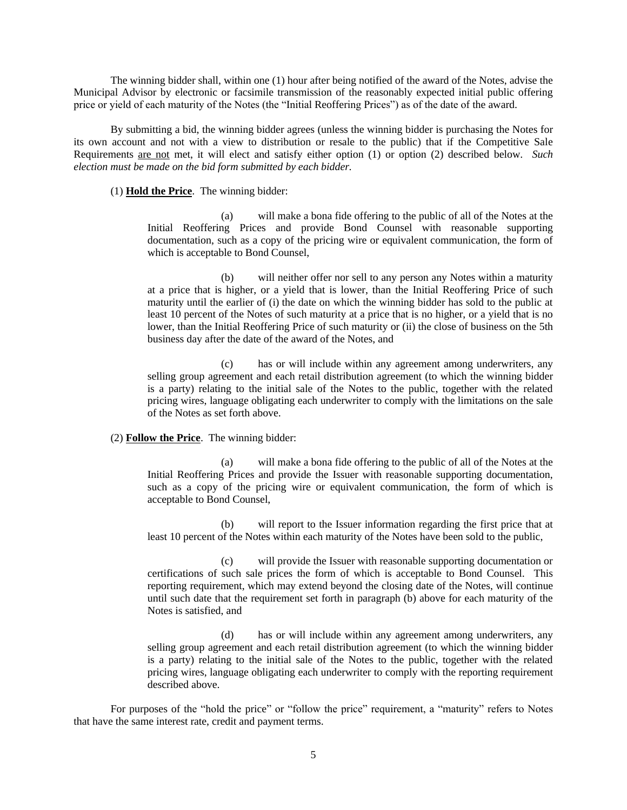The winning bidder shall, within one (1) hour after being notified of the award of the Notes, advise the Municipal Advisor by electronic or facsimile transmission of the reasonably expected initial public offering price or yield of each maturity of the Notes (the "Initial Reoffering Prices") as of the date of the award.

By submitting a bid, the winning bidder agrees (unless the winning bidder is purchasing the Notes for its own account and not with a view to distribution or resale to the public) that if the Competitive Sale Requirements are not met, it will elect and satisfy either option (1) or option (2) described below. *Such election must be made on the bid form submitted by each bidder.*

# (1) **Hold the Price**. The winning bidder:

(a) will make a bona fide offering to the public of all of the Notes at the Initial Reoffering Prices and provide Bond Counsel with reasonable supporting documentation, such as a copy of the pricing wire or equivalent communication, the form of which is acceptable to Bond Counsel,

(b) will neither offer nor sell to any person any Notes within a maturity at a price that is higher, or a yield that is lower, than the Initial Reoffering Price of such maturity until the earlier of (i) the date on which the winning bidder has sold to the public at least 10 percent of the Notes of such maturity at a price that is no higher, or a yield that is no lower, than the Initial Reoffering Price of such maturity or (ii) the close of business on the 5th business day after the date of the award of the Notes, and

(c) has or will include within any agreement among underwriters, any selling group agreement and each retail distribution agreement (to which the winning bidder is a party) relating to the initial sale of the Notes to the public, together with the related pricing wires, language obligating each underwriter to comply with the limitations on the sale of the Notes as set forth above.

# (2) **Follow the Price**. The winning bidder:

(a) will make a bona fide offering to the public of all of the Notes at the Initial Reoffering Prices and provide the Issuer with reasonable supporting documentation, such as a copy of the pricing wire or equivalent communication, the form of which is acceptable to Bond Counsel,

(b) will report to the Issuer information regarding the first price that at least 10 percent of the Notes within each maturity of the Notes have been sold to the public,

(c) will provide the Issuer with reasonable supporting documentation or certifications of such sale prices the form of which is acceptable to Bond Counsel. This reporting requirement, which may extend beyond the closing date of the Notes, will continue until such date that the requirement set forth in paragraph (b) above for each maturity of the Notes is satisfied, and

(d) has or will include within any agreement among underwriters, any selling group agreement and each retail distribution agreement (to which the winning bidder is a party) relating to the initial sale of the Notes to the public, together with the related pricing wires, language obligating each underwriter to comply with the reporting requirement described above.

For purposes of the "hold the price" or "follow the price" requirement, a "maturity" refers to Notes that have the same interest rate, credit and payment terms.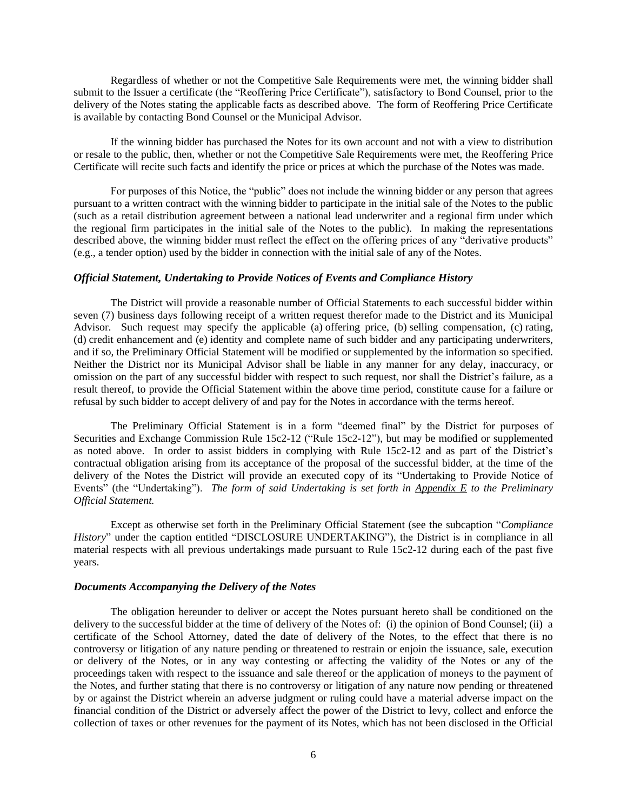Regardless of whether or not the Competitive Sale Requirements were met, the winning bidder shall submit to the Issuer a certificate (the "Reoffering Price Certificate"), satisfactory to Bond Counsel, prior to the delivery of the Notes stating the applicable facts as described above. The form of Reoffering Price Certificate is available by contacting Bond Counsel or the Municipal Advisor.

If the winning bidder has purchased the Notes for its own account and not with a view to distribution or resale to the public, then, whether or not the Competitive Sale Requirements were met, the Reoffering Price Certificate will recite such facts and identify the price or prices at which the purchase of the Notes was made.

For purposes of this Notice, the "public" does not include the winning bidder or any person that agrees pursuant to a written contract with the winning bidder to participate in the initial sale of the Notes to the public (such as a retail distribution agreement between a national lead underwriter and a regional firm under which the regional firm participates in the initial sale of the Notes to the public). In making the representations described above, the winning bidder must reflect the effect on the offering prices of any "derivative products" (e.g., a tender option) used by the bidder in connection with the initial sale of any of the Notes.

### *Official Statement, Undertaking to Provide Notices of Events and Compliance History*

The District will provide a reasonable number of Official Statements to each successful bidder within seven (7) business days following receipt of a written request therefor made to the District and its Municipal Advisor. Such request may specify the applicable (a) offering price, (b) selling compensation, (c) rating, (d) credit enhancement and (e) identity and complete name of such bidder and any participating underwriters, and if so, the Preliminary Official Statement will be modified or supplemented by the information so specified. Neither the District nor its Municipal Advisor shall be liable in any manner for any delay, inaccuracy, or omission on the part of any successful bidder with respect to such request, nor shall the District's failure, as a result thereof, to provide the Official Statement within the above time period, constitute cause for a failure or refusal by such bidder to accept delivery of and pay for the Notes in accordance with the terms hereof.

The Preliminary Official Statement is in a form "deemed final" by the District for purposes of Securities and Exchange Commission Rule 15c2-12 ("Rule 15c2-12"), but may be modified or supplemented as noted above. In order to assist bidders in complying with Rule 15c2-12 and as part of the District's contractual obligation arising from its acceptance of the proposal of the successful bidder, at the time of the delivery of the Notes the District will provide an executed copy of its "Undertaking to Provide Notice of Events" (the "Undertaking"). *The form of said Undertaking is set forth in Appendix E to the Preliminary Official Statement.*

Except as otherwise set forth in the Preliminary Official Statement (see the subcaption "*Compliance History*" under the caption entitled "DISCLOSURE UNDERTAKING"), the District is in compliance in all material respects with all previous undertakings made pursuant to Rule 15c2-12 during each of the past five years.

#### *Documents Accompanying the Delivery of the Notes*

The obligation hereunder to deliver or accept the Notes pursuant hereto shall be conditioned on the delivery to the successful bidder at the time of delivery of the Notes of: (i) the opinion of Bond Counsel; (ii) a certificate of the School Attorney, dated the date of delivery of the Notes, to the effect that there is no controversy or litigation of any nature pending or threatened to restrain or enjoin the issuance, sale, execution or delivery of the Notes, or in any way contesting or affecting the validity of the Notes or any of the proceedings taken with respect to the issuance and sale thereof or the application of moneys to the payment of the Notes, and further stating that there is no controversy or litigation of any nature now pending or threatened by or against the District wherein an adverse judgment or ruling could have a material adverse impact on the financial condition of the District or adversely affect the power of the District to levy, collect and enforce the collection of taxes or other revenues for the payment of its Notes, which has not been disclosed in the Official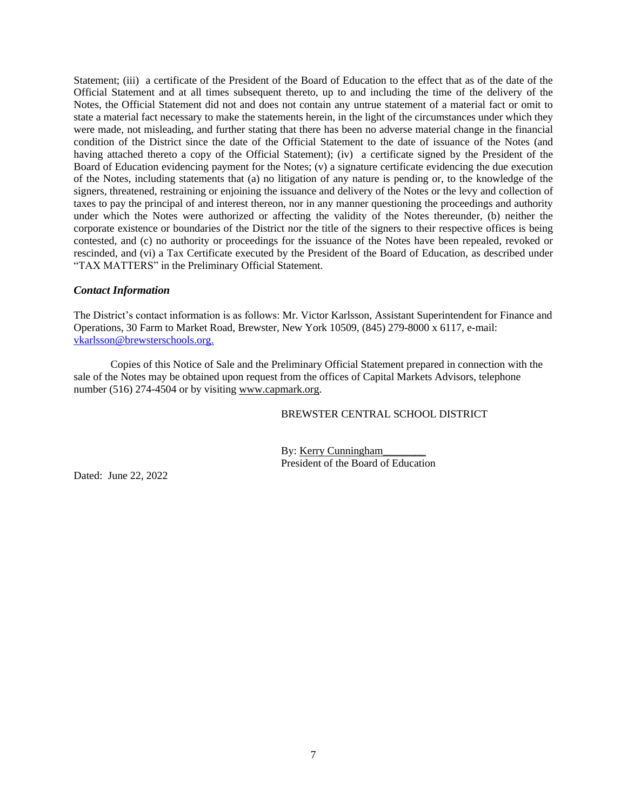Statement; (iii) a certificate of the President of the Board of Education to the effect that as of the date of the Official Statement and at all times subsequent thereto, up to and including the time of the delivery of the Notes, the Official Statement did not and does not contain any untrue statement of a material fact or omit to state a material fact necessary to make the statements herein, in the light of the circumstances under which they were made, not misleading, and further stating that there has been no adverse material change in the financial condition of the District since the date of the Official Statement to the date of issuance of the Notes (and having attached thereto a copy of the Official Statement); (iv) a certificate signed by the President of the Board of Education evidencing payment for the Notes; (v) a signature certificate evidencing the due execution of the Notes, including statements that (a) no litigation of any nature is pending or, to the knowledge of the signers, threatened, restraining or enjoining the issuance and delivery of the Notes or the levy and collection of taxes to pay the principal of and interest thereon, nor in any manner questioning the proceedings and authority under which the Notes were authorized or affecting the validity of the Notes thereunder, (b) neither the corporate existence or boundaries of the District nor the title of the signers to their respective offices is being contested, and (c) no authority or proceedings for the issuance of the Notes have been repealed, revoked or rescinded, and (vi) a Tax Certificate executed by the President of the Board of Education, as described under "TAX MATTERS" in the Preliminary Official Statement.

# *Contact Information*

The District's contact information is as follows: Mr. Victor Karlsson, Assistant Superintendent for Finance and Operations, 30 Farm to Market Road, Brewster, New York 10509, (845) 279-8000 x 6117, e-mail: [vkarlsson@brewsterschools.org.](mailto:vkarlsson@brewsterschools.org)

Copies of this Notice of Sale and the Preliminary Official Statement prepared in connection with the sale of the Notes may be obtained upon request from the offices of Capital Markets Advisors, telephone number (516) 274-4504 or by visiting www.capmark.org.

BREWSTER CENTRAL SCHOOL DISTRICT

By: Kerry Cunningham\_\_\_\_\_\_\_\_ President of the Board of Education

Dated: June 22, 2022